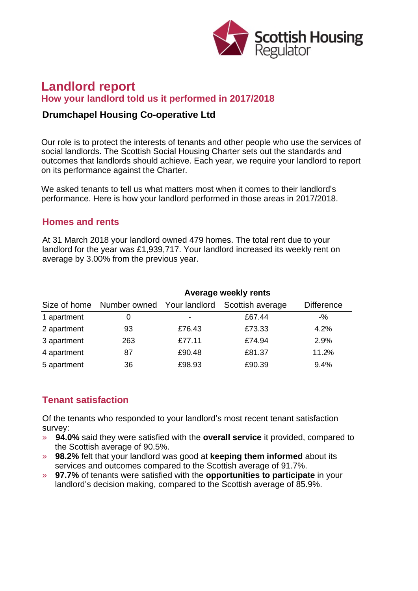

# **Landlord report How your landlord told us it performed in 2017/2018**

### **Drumchapel Housing Co-operative Ltd**

Our role is to protect the interests of tenants and other people who use the services of social landlords. The Scottish Social Housing Charter sets out the standards and outcomes that landlords should achieve. Each year, we require your landlord to report on its performance against the Charter.

We asked tenants to tell us what matters most when it comes to their landlord's performance. Here is how your landlord performed in those areas in 2017/2018.

### **Homes and rents**

At 31 March 2018 your landlord owned 479 homes. The total rent due to your landlord for the year was £1,939,717. Your landlord increased its weekly rent on average by 3.00% from the previous year.

|             | Average weekly rents                    |        |                  |                   |
|-------------|-----------------------------------------|--------|------------------|-------------------|
|             | Size of home Number owned Your landlord |        | Scottish average | <b>Difference</b> |
| 1 apartment |                                         | ٠      | £67.44           | $-$ %             |
| 2 apartment | 93                                      | £76.43 | £73.33           | 4.2%              |
| 3 apartment | 263                                     | £77.11 | £74.94           | 2.9%              |
| 4 apartment | 87                                      | £90.48 | £81.37           | 11.2%             |
| 5 apartment | 36                                      | £98.93 | £90.39           | 9.4%              |

# **Tenant satisfaction**

Of the tenants who responded to your landlord's most recent tenant satisfaction survey:

- » **94.0%** said they were satisfied with the **overall service** it provided, compared to the Scottish average of 90.5%.
- » **98.2%** felt that your landlord was good at **keeping them informed** about its services and outcomes compared to the Scottish average of 91.7%.
- » **97.7%** of tenants were satisfied with the **opportunities to participate** in your landlord's decision making, compared to the Scottish average of 85.9%.